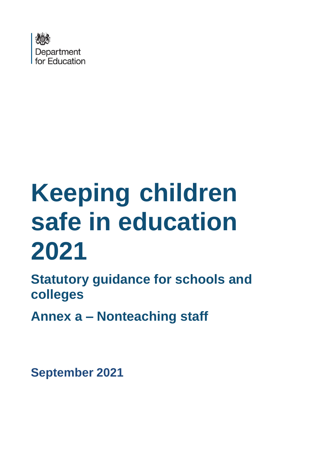

# **Keeping children safe in education 2021**

**Statutory guidance for schools and colleges**

**Annex a – Nonteaching staff**

**September 2021**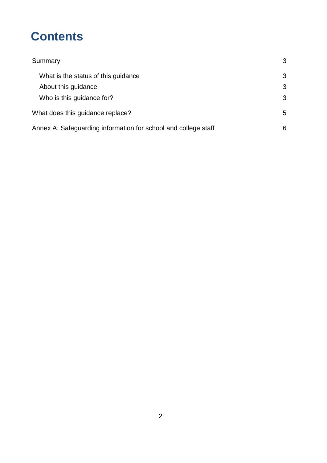# **Contents**

| Summary                                                        | 3 |
|----------------------------------------------------------------|---|
| What is the status of this guidance                            | 3 |
| About this guidance                                            | 3 |
| Who is this guidance for?                                      | 3 |
| What does this guidance replace?                               | 5 |
| Annex A: Safeguarding information for school and college staff | 6 |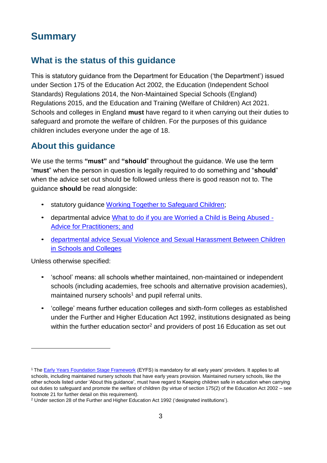# **Summary**

# **What is the status of this guidance**

This is statutory guidance from the Department for Education ('the Department') issued under Section 175 of the Education Act 2002, the Education (Independent School Standards) Regulations 2014, the Non-Maintained Special Schools (England) Regulations 2015, and the Education and Training (Welfare of Children) Act 2021. Schools and colleges in England **must** have regard to it when carrying out their duties to safeguard and promote the welfare of children. For the purposes of this guidance children includes everyone under the age of 18.

# **About this guidance**

We use the terms **"must"** and **"should**" throughout the guidance. We use the term "**must**" when the person in question is legally required to do something and "**should**" when the advice set out should be followed unless there is good reason not to. The guidance **should** be read alongside:

- statutory guidance Working Together to [Safeguard](https://www.gov.uk/government/publications/working-together-to-safeguard-children--2) Children;
- departmental advice [What to do if you are Worried a Child is Being Abused -](https://www.gov.uk/government/publications/what-to-do-if-youre-worried-a-child-is-being-abused--2) Advice [for Practitioners;](https://www.gov.uk/government/publications/what-to-do-if-youre-worried-a-child-is-being-abused--2) and
- departmental advice [Sexual Violence and Sexual Harassment Between Children](https://www.gov.uk/government/publications/sexual-violence-and-sexual-harassment-between-children-in-schools-and-colleges) in [Schools and Colleges](https://www.gov.uk/government/publications/sexual-violence-and-sexual-harassment-between-children-in-schools-and-colleges)

Unless otherwise specified:

- 'school' means: all schools whether maintained, non-maintained or independent schools (including academies, free schools and alternative provision academies), maintained nursery schools $1$  and pupil referral units.
- 'college' means further education colleges and sixth-form colleges as established under the Further and Higher Education Act 1992, institutions designated as being within the further education sector<sup>[2](#page-2-1)</sup> and providers of post 16 Education as set out

<span id="page-2-0"></span><sup>&</sup>lt;sup>1</sup> The **Early Years Foundation Stage Framework** (EYFS) is mandatory for all early years' providers. It applies to all schools, including maintained nursery schools that have early years provision. Maintained nursery schools, like the other schools listed under 'About this guidance', must have regard to Keeping children safe in education when carrying out duties to safeguard and promote the welfare of children (by virtue of section 175(2) of the Education Act 2002 – see footnote 21 for further detail on this requirement).

<span id="page-2-1"></span><sup>2</sup> Under section 28 of the Further and Higher Education Act 1992 ('designated institutions').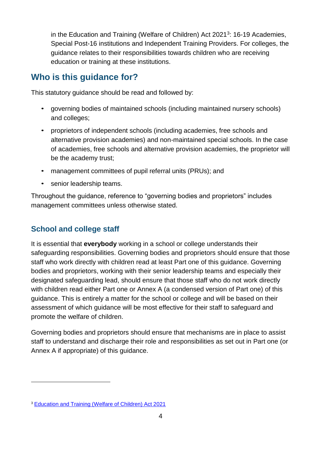in the Education and Training (Welfare of Children) Act 2021<sup>[3](#page-3-0)</sup>: 16-19 Academies, Special Post-16 institutions and Independent Training Providers. For colleges, the guidance relates to their responsibilities towards children who are receiving education or training at these institutions.

# **Who is this guidance for?**

This statutory guidance should be read and followed by:

- governing bodies of maintained schools (including maintained nursery schools) and colleges;
- proprietors of independent schools (including academies, free schools and alternative provision academies) and non-maintained special schools. In the case of academies, free schools and alternative provision academies, the proprietor will be the academy trust;
- management committees of pupil referral units (PRUs); and
- senior leadership teams.

Throughout the guidance, reference to "governing bodies and proprietors" includes management committees unless otherwise stated.

## **School and college staff**

It is essential that **everybody** working in a school or college understands their safeguarding responsibilities. Governing bodies and proprietors should ensure that those staff who work directly with children read at least Part one of this guidance. Governing bodies and proprietors, working with their senior leadership teams and especially their designated safeguarding lead, should ensure that those staff who do not work directly with children read either Part one or Annex A (a condensed version of Part one) of this guidance. This is entirely a matter for the school or college and will be based on their assessment of which guidance will be most effective for their staff to safeguard and promote the welfare of children.

Governing bodies and proprietors should ensure that mechanisms are in place to assist staff to understand and discharge their role and responsibilities as set out in Part one (or Annex A if appropriate) of this guidance.

<span id="page-3-0"></span><sup>3</sup> [Education](https://www.legislation.gov.uk/en/ukpga/2021/16/enacted) and Training (Welfare of Children) Act 2021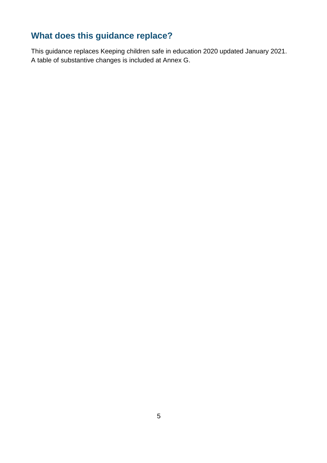# **What does this guidance replace?**

This guidance replaces Keeping children safe in education 2020 updated January 2021. A table of substantive changes is included at Annex G.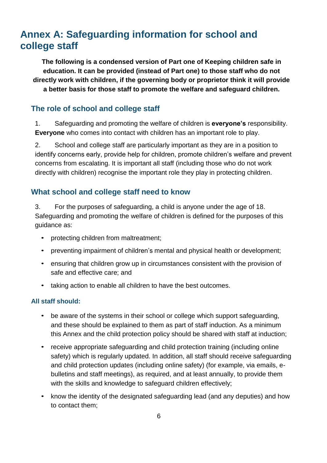# **Annex A: Safeguarding information for school and college staff**

**The following is a condensed version of Part one of Keeping children safe in education. It can be provided (instead of Part one) to those staff who do not directly work with children, if the governing body or proprietor think it will provide a better basis for those staff to promote the welfare and safeguard children.**

## **The role of school and college staff**

1. Safeguarding and promoting the welfare of children is **everyone's** responsibility. **Everyone** who comes into contact with children has an important role to play.

2. School and college staff are particularly important as they are in a position to identify concerns early, provide help for children, promote children's welfare and prevent concerns from escalating. It is important all staff (including those who do not work directly with children) recognise the important role they play in protecting children.

## **What school and college staff need to know**

3. For the purposes of safeguarding, a child is anyone under the age of 18. Safeguarding and promoting the welfare of children is defined for the purposes of this guidance as:

- protecting children from maltreatment;
- preventing impairment of children's mental and physical health or development;
- ensuring that children grow up in circumstances consistent with the provision of safe and effective care; and
- taking action to enable all children to have the best outcomes.

#### **All staff should:**

- be aware of the systems in their school or college which support safeguarding, and these should be explained to them as part of staff induction. As a minimum this Annex and the child protection policy should be shared with staff at induction;
- receive appropriate safeguarding and child protection training (including online safety) which is regularly updated. In addition, all staff should receive safeguarding and child protection updates (including online safety) (for example, via emails, ebulletins and staff meetings), as required, and at least annually, to provide them with the skills and knowledge to safeguard children effectively;
- know the identity of the designated safeguarding lead (and any deputies) and how to contact them;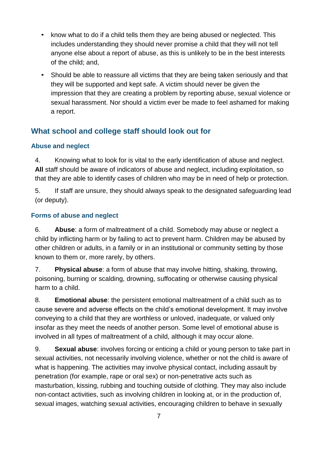- know what to do if a child tells them they are being abused or neglected. This includes understanding they should never promise a child that they will not tell anyone else about a report of abuse, as this is unlikely to be in the best interests of the child; and,
- Should be able to reassure all victims that they are being taken seriously and that they will be supported and kept safe. A victim should never be given the impression that they are creating a problem by reporting abuse, sexual violence or sexual harassment. Nor should a victim ever be made to feel ashamed for making a report.

## **What school and college staff should look out for**

## **Abuse and neglect**

4. Knowing what to look for is vital to the early identification of abuse and neglect. **All** staff should be aware of indicators of abuse and neglect, including exploitation, so that they are able to identify cases of children who may be in need of help or protection.

5. If staff are unsure, they should always speak to the designated safeguarding lead (or deputy).

## **Forms of abuse and neglect**

6. **Abuse**: a form of maltreatment of a child. Somebody may abuse or neglect a child by inflicting harm or by failing to act to prevent harm. Children may be abused by other children or adults, in a family or in an institutional or community setting by those known to them or, more rarely, by others.

7. **Physical abuse**: a form of abuse that may involve hitting, shaking, throwing, poisoning, burning or scalding, drowning, suffocating or otherwise causing physical harm to a child.

8. **Emotional abuse**: the persistent emotional maltreatment of a child such as to cause severe and adverse effects on the child's emotional development. It may involve conveying to a child that they are worthless or unloved, inadequate, or valued only insofar as they meet the needs of another person. Some level of emotional abuse is involved in all types of maltreatment of a child, although it may occur alone.

9. **Sexual abuse**: involves forcing or enticing a child or young person to take part in sexual activities, not necessarily involving violence, whether or not the child is aware of what is happening. The activities may involve physical contact, including assault by penetration (for example, rape or oral sex) or non-penetrative acts such as masturbation, kissing, rubbing and touching outside of clothing. They may also include non-contact activities, such as involving children in looking at, or in the production of, sexual images, watching sexual activities, encouraging children to behave in sexually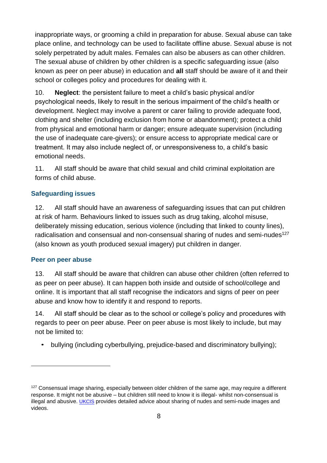inappropriate ways, or grooming a child in preparation for abuse. Sexual abuse can take place online, and technology can be used to facilitate offline abuse. Sexual abuse is not solely perpetrated by adult males. Females can also be abusers as can other children. The sexual abuse of children by other children is a specific safeguarding issue (also known as peer on peer abuse) in education and **all** staff should be aware of it and their school or colleges policy and procedures for dealing with it.

10. **Neglect**: the persistent failure to meet a child's basic physical and/or psychological needs, likely to result in the serious impairment of the child's health or development. Neglect may involve a parent or carer failing to provide adequate food, clothing and shelter (including exclusion from home or abandonment); protect a child from physical and emotional harm or danger; ensure adequate supervision (including the use of inadequate care-givers); or ensure access to appropriate medical care or treatment. It may also include neglect of, or unresponsiveness to, a child's basic emotional needs.

11. All staff should be aware that child sexual and child criminal exploitation are forms of child abuse.

#### **Safeguarding issues**

12. All staff should have an awareness of safeguarding issues that can put children at risk of harm. Behaviours linked to issues such as drug taking, alcohol misuse, deliberately missing education, serious violence (including that linked to county lines), radicalisation and consensual and non-consensual sharing of nudes and semi-nudes<sup>[127](#page-7-0)</sup> (also known as youth produced sexual imagery) put children in danger.

#### **Peer on peer abuse**

13. All staff should be aware that children can abuse other children (often referred to as peer on peer abuse). It can happen both inside and outside of school/college and online. It is important that all staff recognise the indicators and signs of peer on peer abuse and know how to identify it and respond to reports.

14. All staff should be clear as to the school or college's policy and procedures with regards to peer on peer abuse. Peer on peer abuse is most likely to include, but may not be limited to:

• bullying (including cyberbullying, prejudice-based and discriminatory bullying);

<span id="page-7-0"></span><sup>&</sup>lt;sup>127</sup> Consensual image sharing, especially between older children of the same age, may require a different response. It might not be abusive – but children still need to know it is illegal- whilst non-consensual is illegal and abusive. [UKCIS](https://www.gov.uk/government/publications/sharing-nudes-and-semi-nudes-advice-for-education-settings-working-with-children-and-young-people) provides detailed advice about sharing of nudes and semi-nude images and videos.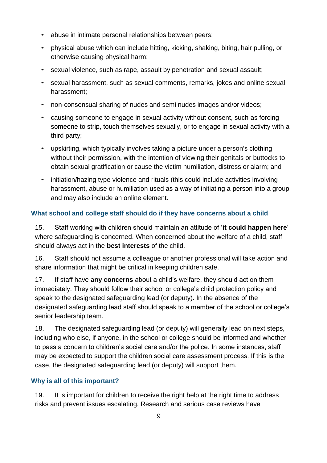- abuse in intimate personal relationships between peers;
- physical abuse which can include hitting, kicking, shaking, biting, hair pulling, or otherwise causing physical harm;
- sexual violence, such as rape, assault by penetration and sexual assault;
- sexual harassment, such as sexual comments, remarks, jokes and online sexual harassment;
- non-consensual sharing of nudes and semi nudes images and/or videos;
- causing someone to engage in sexual activity without consent, such as forcing someone to strip, touch themselves sexually, or to engage in sexual activity with a third party;
- upskirting, which typically involves taking a picture under a person's clothing without their permission, with the intention of viewing their genitals or buttocks to obtain sexual gratification or cause the victim humiliation, distress or alarm; and
- initiation/hazing type violence and rituals (this could include activities involving harassment, abuse or humiliation used as a way of initiating a person into a group and may also include an online element.

#### **What school and college staff should do if they have concerns about a child**

15. Staff working with children should maintain an attitude of '**it could happen here**' where safeguarding is concerned. When concerned about the welfare of a child, staff should always act in the **best interests** of the child.

16. Staff should not assume a colleague or another professional will take action and share information that might be critical in keeping children safe.

17. If staff have **any concerns** about a child's welfare, they should act on them immediately. They should follow their school or college's child protection policy and speak to the designated safeguarding lead (or deputy). In the absence of the designated safeguarding lead staff should speak to a member of the school or college's senior leadership team.

18. The designated safeguarding lead (or deputy) will generally lead on next steps, including who else, if anyone, in the school or college should be informed and whether to pass a concern to children's social care and/or the police. In some instances, staff may be expected to support the children social care assessment process. If this is the case, the designated safeguarding lead (or deputy) will support them.

#### **Why is all of this important?**

19. It is important for children to receive the right help at the right time to address risks and prevent issues escalating. Research and serious case reviews have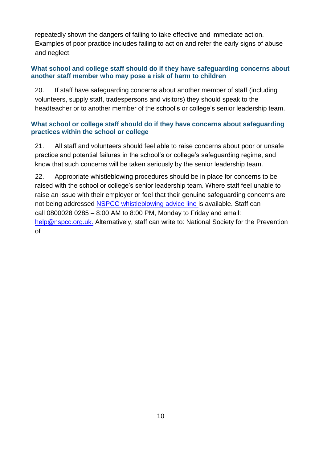repeatedly shown the dangers of failing to take effective and immediate action. Examples of poor practice includes failing to act on and refer the early signs of abuse and neglect.

#### **What school and college staff should do if they have safeguarding concerns about another staff member who may pose a risk of harm to children**

20. If staff have safeguarding concerns about another member of staff (including volunteers, supply staff, tradespersons and visitors) they should speak to the headteacher or to another member of the school's or college's senior leadership team.

#### **What school or college staff should do if they have concerns about safeguarding practices within the school or college**

21. All staff and volunteers should feel able to raise concerns about poor or unsafe practice and potential failures in the school's or college's safeguarding regime, and know that such concerns will be taken seriously by the senior leadership team.

22. Appropriate whistleblowing procedures should be in place for concerns to be raised with the school or college's senior leadership team. Where staff feel unable to raise an issue with their employer or feel that their genuine safeguarding concerns are not being addressed NSPCC [whistleblowing](https://www.nspcc.org.uk/keeping-children-safe/reporting-abuse/dedicated-helplines/whistleblowing-advice-line/) advice line is available. Staff can call 0800028 0285 – 8:00 AM to 8:00 PM, Monday to Friday and email: [help@nspcc.org.uk.](mailto:help@nspcc.org.uk) Alternatively, staff can write to: National Society for the Prevention of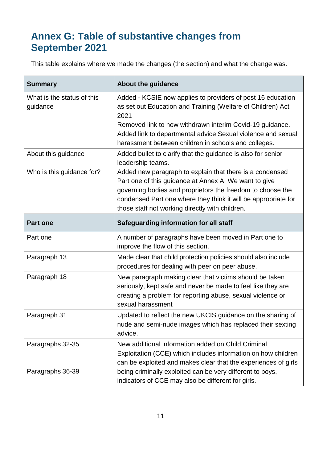# **Annex G: Table of substantive changes from September 2021**

This table explains where we made the changes (the section) and what the change was.

| <b>Summary</b>                                   | About the guidance                                                                                                                                                                                                                                             |
|--------------------------------------------------|----------------------------------------------------------------------------------------------------------------------------------------------------------------------------------------------------------------------------------------------------------------|
| What is the status of this<br>guidance           | Added - KCSIE now applies to providers of post 16 education<br>as set out Education and Training (Welfare of Children) Act<br>2021<br>Removed link to now withdrawn interim Covid-19 guidance.<br>Added link to departmental advice Sexual violence and sexual |
|                                                  | harassment between children in schools and colleges.                                                                                                                                                                                                           |
| About this guidance<br>Who is this guidance for? | Added bullet to clarify that the guidance is also for senior<br>leadership teams.<br>Added new paragraph to explain that there is a condensed                                                                                                                  |
|                                                  | Part one of this guidance at Annex A. We want to give<br>governing bodies and proprietors the freedom to choose the<br>condensed Part one where they think it will be appropriate for<br>those staff not working directly with children.                       |
| <b>Part one</b>                                  | Safeguarding information for all staff                                                                                                                                                                                                                         |
| Part one                                         | A number of paragraphs have been moved in Part one to<br>improve the flow of this section.                                                                                                                                                                     |
| Paragraph 13                                     | Made clear that child protection policies should also include<br>procedures for dealing with peer on peer abuse.                                                                                                                                               |
| Paragraph 18                                     | New paragraph making clear that victims should be taken<br>seriously, kept safe and never be made to feel like they are<br>creating a problem for reporting abuse, sexual violence or<br>sexual harassment                                                     |
| Paragraph 31                                     | Updated to reflect the new UKCIS guidance on the sharing of<br>nude and semi-nude images which has replaced their sexting<br>advice.                                                                                                                           |
| Paragraphs 32-35                                 | New additional information added on Child Criminal<br>Exploitation (CCE) which includes information on how children<br>can be exploited and makes clear that the experiences of girls                                                                          |
| Paragraphs 36-39                                 | being criminally exploited can be very different to boys,<br>indicators of CCE may also be different for girls.                                                                                                                                                |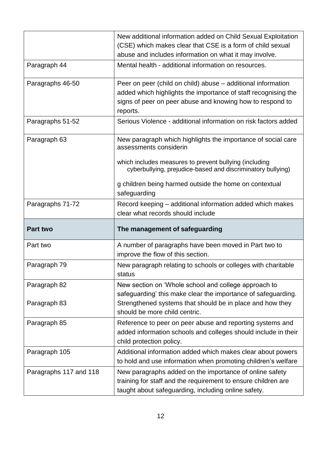|                        | New additional information added on Child Sexual Exploitation<br>(CSE) which makes clear that CSE is a form of child sexual<br>abuse and includes information on what it may involve.                   |
|------------------------|---------------------------------------------------------------------------------------------------------------------------------------------------------------------------------------------------------|
| Paragraph 44           | Mental health - additional information on resources.                                                                                                                                                    |
| Paragraphs 46-50       | Peer on peer (child on child) abuse – additional information<br>added which highlights the importance of staff recognising the<br>signs of peer on peer abuse and knowing how to respond to<br>reports. |
| Paragraphs 51-52       | Serious Violence - additional information on risk factors added                                                                                                                                         |
| Paragraph 63           | New paragraph which highlights the importance of social care<br>assessments considerin                                                                                                                  |
|                        | which includes measures to prevent bullying (including<br>cyberbullying, prejudice-based and discriminatory bullying)                                                                                   |
|                        | g children being harmed outside the home on contextual<br>safeguarding                                                                                                                                  |
| Paragraphs 71-72       | Record keeping – additional information added which makes<br>clear what records should include                                                                                                          |
| <b>Part two</b>        | The management of safeguarding                                                                                                                                                                          |
| Part two               | A number of paragraphs have been moved in Part two to<br>improve the flow of this section.                                                                                                              |
| Paragraph 79           | New paragraph relating to schools or colleges with charitable<br>status                                                                                                                                 |
| Paragraph 82           | New section on 'Whole school and college approach to<br>safeguarding' this make clear the importance of safeguarding.                                                                                   |
| Paragraph 83           | Strengthened systems that should be in place and how they<br>should be more child centric.                                                                                                              |
| Paragraph 85           | Reference to peer on peer abuse and reporting systems and<br>added information schools and colleges should include in their<br>child protection policy.                                                 |
| Paragraph 105          | Additional information added which makes clear about powers<br>to hold and use information when promoting children's welfare                                                                            |
| Paragraphs 117 and 118 | New paragraphs added on the importance of online safety<br>training for staff and the requirement to ensure children are<br>taught about safeguarding, including online safety.                         |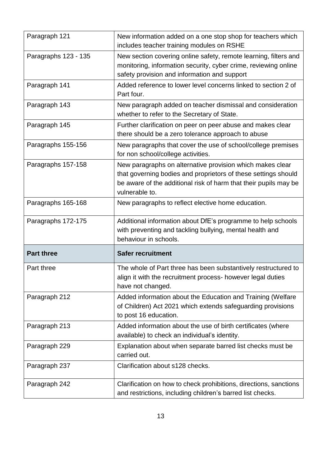| Paragraph 121        | New information added on a one stop shop for teachers which<br>includes teacher training modules on RSHE                                                                                                          |
|----------------------|-------------------------------------------------------------------------------------------------------------------------------------------------------------------------------------------------------------------|
| Paragraphs 123 - 135 | New section covering online safety, remote learning, filters and<br>monitoring, information security, cyber crime, reviewing online<br>safety provision and information and support                               |
| Paragraph 141        | Added reference to lower level concerns linked to section 2 of<br>Part four.                                                                                                                                      |
| Paragraph 143        | New paragraph added on teacher dismissal and consideration<br>whether to refer to the Secretary of State.                                                                                                         |
| Paragraph 145        | Further clarification on peer on peer abuse and makes clear<br>there should be a zero tolerance approach to abuse                                                                                                 |
| Paragraphs 155-156   | New paragraphs that cover the use of school/college premises<br>for non school/college activities.                                                                                                                |
| Paragraphs 157-158   | New paragraphs on alternative provision which makes clear<br>that governing bodies and proprietors of these settings should<br>be aware of the additional risk of harm that their pupils may be<br>vulnerable to. |
| Paragraphs 165-168   | New paragraphs to reflect elective home education.                                                                                                                                                                |
| Paragraphs 172-175   | Additional information about DfE's programme to help schools<br>with preventing and tackling bullying, mental health and<br>behaviour in schools.                                                                 |
| <b>Part three</b>    | <b>Safer recruitment</b>                                                                                                                                                                                          |
| Part three           | The whole of Part three has been substantively restructured to<br>align it with the recruitment process- however legal duties<br>have not changed.                                                                |
| Paragraph 212        | Added information about the Education and Training (Welfare<br>of Children) Act 2021 which extends safeguarding provisions<br>to post 16 education.                                                               |
| Paragraph 213        | Added information about the use of birth certificates (where<br>available) to check an individual's identity.                                                                                                     |
| Paragraph 229        | Explanation about when separate barred list checks must be<br>carried out.                                                                                                                                        |
| Paragraph 237        | Clarification about s128 checks.                                                                                                                                                                                  |
| Paragraph 242        | Clarification on how to check prohibitions, directions, sanctions<br>and restrictions, including children's barred list checks.                                                                                   |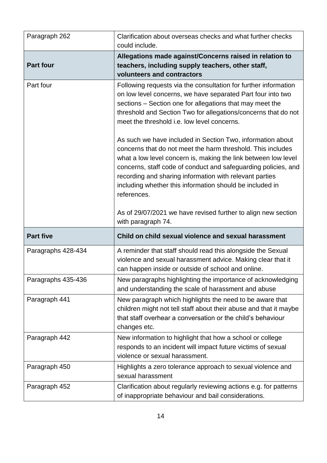| Paragraph 262      | Clarification about overseas checks and what further checks<br>could include.                                                                                                                                                                                                                                                                                                                       |
|--------------------|-----------------------------------------------------------------------------------------------------------------------------------------------------------------------------------------------------------------------------------------------------------------------------------------------------------------------------------------------------------------------------------------------------|
| <b>Part four</b>   | Allegations made against/Concerns raised in relation to<br>teachers, including supply teachers, other staff,<br>volunteers and contractors                                                                                                                                                                                                                                                          |
| Part four          | Following requests via the consultation for further information<br>on low level concerns, we have separated Part four into two<br>sections – Section one for allegations that may meet the<br>threshold and Section Two for allegations/concerns that do not<br>meet the threshold i.e. low level concerns.                                                                                         |
|                    | As such we have included in Section Two, information about<br>concerns that do not meet the harm threshold. This includes<br>what a low level concern is, making the link between low level<br>concerns, staff code of conduct and safeguarding policies, and<br>recording and sharing information with relevant parties<br>including whether this information should be included in<br>references. |
|                    | As of 29/07/2021 we have revised further to align new section                                                                                                                                                                                                                                                                                                                                       |
|                    | with paragraph 74.                                                                                                                                                                                                                                                                                                                                                                                  |
| <b>Part five</b>   | Child on child sexual violence and sexual harassment                                                                                                                                                                                                                                                                                                                                                |
| Paragraphs 428-434 | A reminder that staff should read this alongside the Sexual<br>violence and sexual harassment advice. Making clear that it<br>can happen inside or outside of school and online.                                                                                                                                                                                                                    |
| Paragraphs 435-436 | New paragraphs highlighting the importance of acknowledging<br>and understanding the scale of harassment and abuse                                                                                                                                                                                                                                                                                  |
| Paragraph 441      | New paragraph which highlights the need to be aware that<br>children might not tell staff about their abuse and that it maybe<br>that staff overhear a conversation or the child's behaviour<br>changes etc.                                                                                                                                                                                        |
| Paragraph 442      | New information to highlight that how a school or college<br>responds to an incident will impact future victims of sexual<br>violence or sexual harassment.                                                                                                                                                                                                                                         |
| Paragraph 450      | Highlights a zero tolerance approach to sexual violence and<br>sexual harassment                                                                                                                                                                                                                                                                                                                    |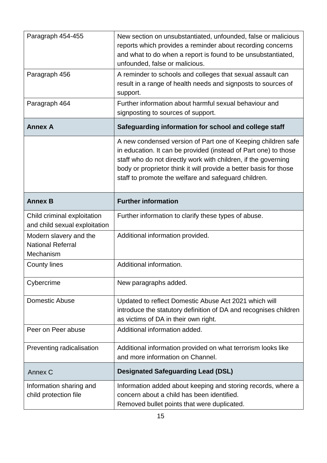| Paragraph 454-455                                               | New section on unsubstantiated, unfounded, false or malicious<br>reports which provides a reminder about recording concerns<br>and what to do when a report is found to be unsubstantiated,<br>unfounded, false or malicious.                                                                                                  |
|-----------------------------------------------------------------|--------------------------------------------------------------------------------------------------------------------------------------------------------------------------------------------------------------------------------------------------------------------------------------------------------------------------------|
| Paragraph 456                                                   | A reminder to schools and colleges that sexual assault can<br>result in a range of health needs and signposts to sources of<br>support.                                                                                                                                                                                        |
| Paragraph 464                                                   | Further information about harmful sexual behaviour and<br>signposting to sources of support.                                                                                                                                                                                                                                   |
| <b>Annex A</b>                                                  | Safeguarding information for school and college staff                                                                                                                                                                                                                                                                          |
|                                                                 | A new condensed version of Part one of Keeping children safe<br>in education. It can be provided (instead of Part one) to those<br>staff who do not directly work with children, if the governing<br>body or proprietor think it will provide a better basis for those<br>staff to promote the welfare and safeguard children. |
| <b>Annex B</b>                                                  | <b>Further information</b>                                                                                                                                                                                                                                                                                                     |
| Child criminal exploitation<br>and child sexual exploitation    | Further information to clarify these types of abuse.                                                                                                                                                                                                                                                                           |
| Modern slavery and the<br><b>National Referral</b><br>Mechanism | Additional information provided.                                                                                                                                                                                                                                                                                               |
| <b>County lines</b>                                             | Additional information.                                                                                                                                                                                                                                                                                                        |
| Cybercrime                                                      | New paragraphs added.                                                                                                                                                                                                                                                                                                          |
| <b>Domestic Abuse</b>                                           | Updated to reflect Domestic Abuse Act 2021 which will<br>introduce the statutory definition of DA and recognises children<br>as victims of DA in their own right.                                                                                                                                                              |
| Peer on Peer abuse                                              | Additional information added.                                                                                                                                                                                                                                                                                                  |
| Preventing radicalisation                                       | Additional information provided on what terrorism looks like<br>and more information on Channel.                                                                                                                                                                                                                               |
| Annex C                                                         | <b>Designated Safeguarding Lead (DSL)</b>                                                                                                                                                                                                                                                                                      |
| Information sharing and<br>child protection file                | Information added about keeping and storing records, where a<br>concern about a child has been identified.<br>Removed bullet points that were duplicated.                                                                                                                                                                      |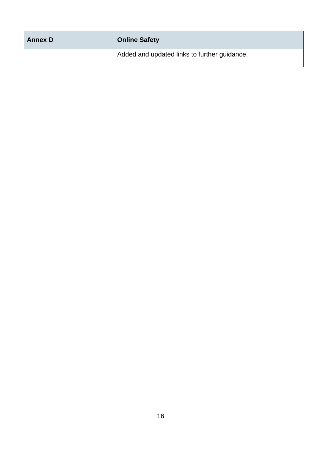| <b>Annex D</b> | <b>Online Safety</b>                         |
|----------------|----------------------------------------------|
|                | Added and updated links to further guidance. |